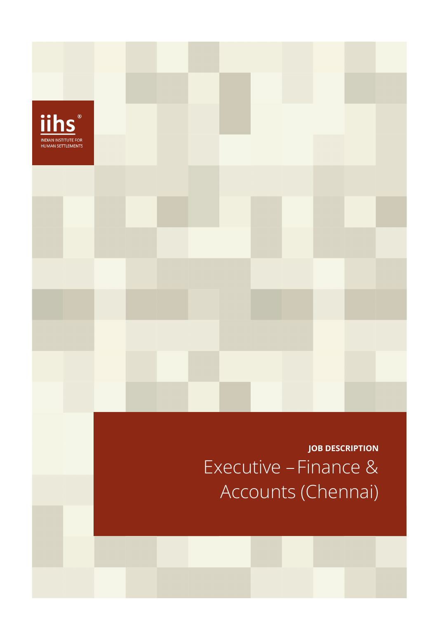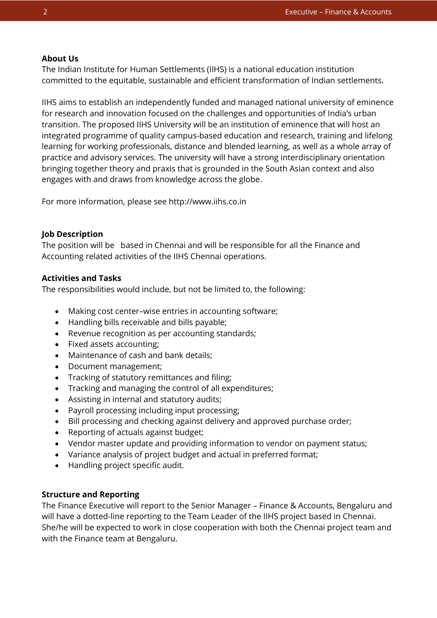# **About Us**

The Indian Institute for Human Settlements (IIHS) is a national education institution committed to the equitable, sustainable and efficient transformation of Indian settlements.

IIHS aims to establish an independently funded and managed national university of eminence for research and innovation focused on the challenges and opportunities of India's urban transition. The proposed IIHS University will be an institution of eminence that will host an integrated programme of quality campus-based education and research, training and lifelong learning for working professionals, distance and blended learning, as well as a whole array of practice and advisory services. The university will have a strong interdisciplinary orientation bringing together theory and praxis that is grounded in the South Asian context and also engages with and draws from knowledge across the globe.

For more information, please see http://www.iihs.co.in

# **Job Description**

The position will be based in Chennai and will be responsible for all the Finance and Accounting related activities of the IIHS Chennai operations.

# **Activities and Tasks**

The responsibilities would include, but not be limited to, the following:

- Making cost center–wise entries in accounting software;
- Handling bills receivable and bills payable;
- Revenue recognition as per accounting standards;
- Fixed assets accounting;
- Maintenance of cash and bank details;
- Document management;
- Tracking of statutory remittances and filing;
- Tracking and managing the control of all expenditures;
- Assisting in internal and statutory audits;
- Payroll processing including input processing;
- Bill processing and checking against delivery and approved purchase order;
- Reporting of actuals against budget;
- Vendor master update and providing information to vendor on payment status;
- Variance analysis of project budget and actual in preferred format;
- Handling project specific audit.

# **Structure and Reporting**

The Finance Executive will report to the Senior Manager – Finance & Accounts, Bengaluru and will have a dotted-line reporting to the Team Leader of the IIHS project based in Chennai. She/he will be expected to work in close cooperation with both the Chennai project team and with the Finance team at Bengaluru.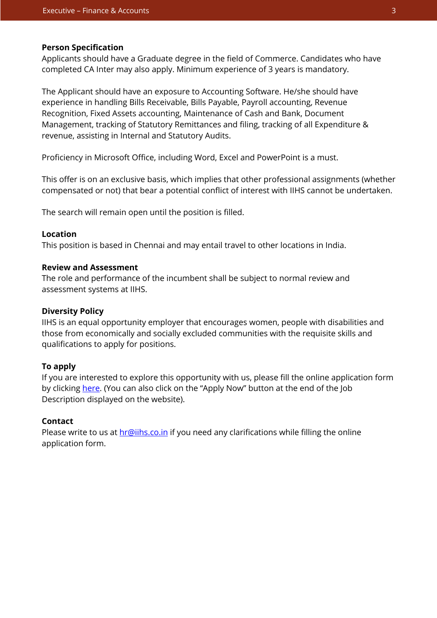#### **Person Specification**

Applicants should have a Graduate degree in the field of Commerce. Candidates who have completed CA Inter may also apply. Minimum experience of 3 years is mandatory.

The Applicant should have an exposure to Accounting Software. He/she should have experience in handling Bills Receivable, Bills Payable, Payroll accounting, Revenue Recognition, Fixed Assets accounting, Maintenance of Cash and Bank, Document Management, tracking of Statutory Remittances and filing, tracking of all Expenditure & revenue, assisting in Internal and Statutory Audits.

Proficiency in Microsoft Office, including Word, Excel and PowerPoint is a must.

This offer is on an exclusive basis, which implies that other professional assignments (whether compensated or not) that bear a potential conflict of interest with IIHS cannot be undertaken.

The search will remain open until the position is filled.

## **Location**

This position is based in Chennai and may entail travel to other locations in India.

### **Review and Assessment**

The role and performance of the incumbent shall be subject to normal review and assessment systems at IIHS.

#### **Diversity Policy**

IIHS is an equal opportunity employer that encourages women, people with disabilities and those from economically and socially excluded communities with the requisite skills and qualifications to apply for positions.

## **To apply**

If you are interested to explore this opportunity with us, please fill the online application form by clickin[g here.](https://iihs.co.in/job-application/) (You can also click on the "Apply Now" button at the end of the Job Description displayed on the website).

# **Contact**

Please write to us at **hr@iihs.co.in** if you need any clarifications while filling the online application form.